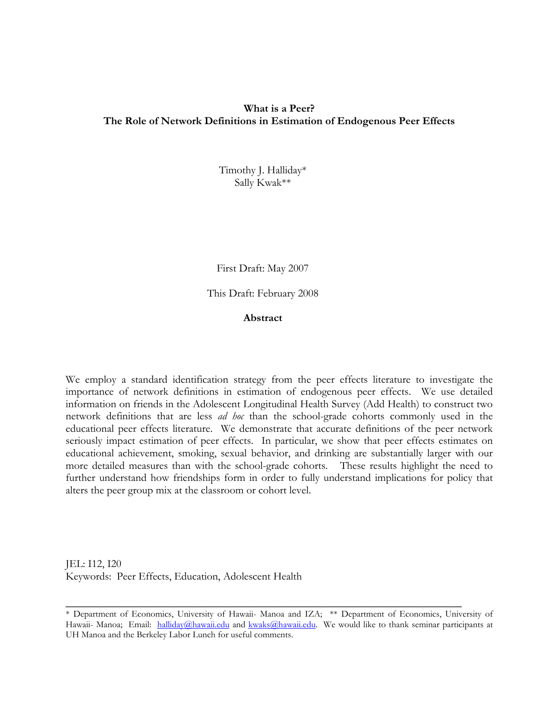## **What is a Peer? The Role of Network Definitions in Estimation of Endogenous Peer Effects**

Timothy J. Halliday\* Sally Kwak\*\*

First Draft: May 2007

This Draft: February 2008

**Abstract** 

We employ a standard identification strategy from the peer effects literature to investigate the importance of network definitions in estimation of endogenous peer effects. We use detailed information on friends in the Adolescent Longitudinal Health Survey (Add Health) to construct two network definitions that are less *ad hoc* than the school-grade cohorts commonly used in the educational peer effects literature. We demonstrate that accurate definitions of the peer network seriously impact estimation of peer effects. In particular, we show that peer effects estimates on educational achievement, smoking, sexual behavior, and drinking are substantially larger with our more detailed measures than with the school-grade cohorts. These results highlight the need to further understand how friendships form in order to fully understand implications for policy that alters the peer group mix at the classroom or cohort level.

JEL: I12, I20 Keywords: Peer Effects, Education, Adolescent Health

<sup>\*</sup> Department of Economics, University of Hawaii- Manoa and IZA; \*\* Department of Economics, University of Hawaii- Manoa; Email: [halliday@hawaii.edu](mailto:halliday@hawaii.edu) and [kwaks@hawaii.edu.](mailto:kwaks@hawaii.edu) We would like to thank seminar participants at UH Manoa and the Berkeley Labor Lunch for useful comments.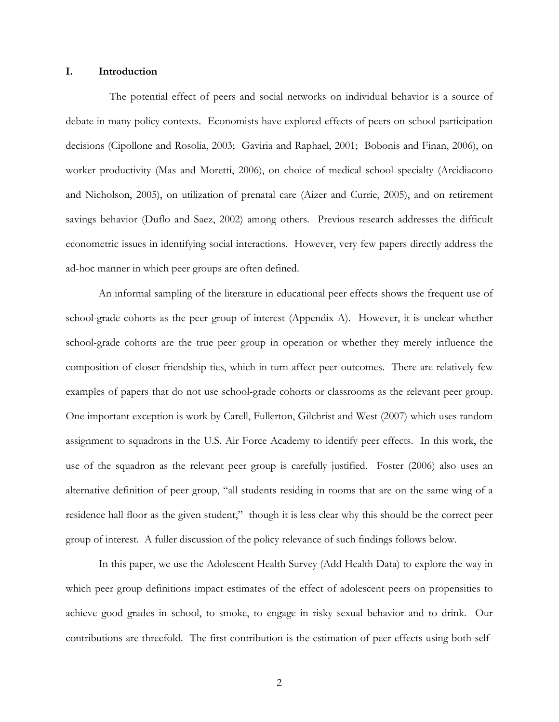#### **I. Introduction**

 The potential effect of peers and social networks on individual behavior is a source of debate in many policy contexts. Economists have explored effects of peers on school participation decisions (Cipollone and Rosolia, 2003; Gaviria and Raphael, 2001; Bobonis and Finan, 2006), on worker productivity (Mas and Moretti, 2006), on choice of medical school specialty (Arcidiacono and Nicholson, 2005), on utilization of prenatal care (Aizer and Currie, 2005), and on retirement savings behavior (Duflo and Saez, 2002) among others. Previous research addresses the difficult econometric issues in identifying social interactions. However, very few papers directly address the ad-hoc manner in which peer groups are often defined.

An informal sampling of the literature in educational peer effects shows the frequent use of school-grade cohorts as the peer group of interest (Appendix A). However, it is unclear whether school-grade cohorts are the true peer group in operation or whether they merely influence the composition of closer friendship ties, which in turn affect peer outcomes. There are relatively few examples of papers that do not use school-grade cohorts or classrooms as the relevant peer group. One important exception is work by Carell, Fullerton, Gilchrist and West (2007) which uses random assignment to squadrons in the U.S. Air Force Academy to identify peer effects. In this work, the use of the squadron as the relevant peer group is carefully justified. Foster (2006) also uses an alternative definition of peer group, "all students residing in rooms that are on the same wing of a residence hall floor as the given student," though it is less clear why this should be the correct peer group of interest. A fuller discussion of the policy relevance of such findings follows below.

In this paper, we use the Adolescent Health Survey (Add Health Data) to explore the way in which peer group definitions impact estimates of the effect of adolescent peers on propensities to achieve good grades in school, to smoke, to engage in risky sexual behavior and to drink. Our contributions are threefold. The first contribution is the estimation of peer effects using both self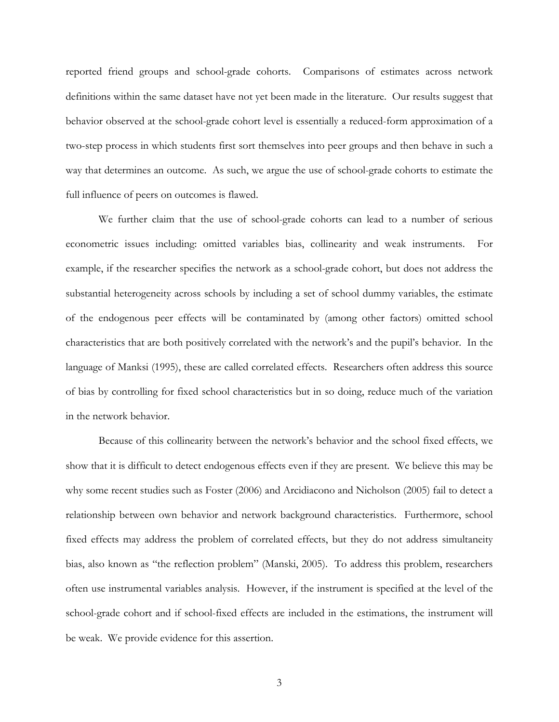reported friend groups and school-grade cohorts. Comparisons of estimates across network definitions within the same dataset have not yet been made in the literature. Our results suggest that behavior observed at the school-grade cohort level is essentially a reduced-form approximation of a two-step process in which students first sort themselves into peer groups and then behave in such a way that determines an outcome. As such, we argue the use of school-grade cohorts to estimate the full influence of peers on outcomes is flawed.

We further claim that the use of school-grade cohorts can lead to a number of serious econometric issues including: omitted variables bias, collinearity and weak instruments. For example, if the researcher specifies the network as a school-grade cohort, but does not address the substantial heterogeneity across schools by including a set of school dummy variables, the estimate of the endogenous peer effects will be contaminated by (among other factors) omitted school characteristics that are both positively correlated with the network's and the pupil's behavior. In the language of Manksi (1995), these are called correlated effects. Researchers often address this source of bias by controlling for fixed school characteristics but in so doing, reduce much of the variation in the network behavior.

Because of this collinearity between the network's behavior and the school fixed effects, we show that it is difficult to detect endogenous effects even if they are present. We believe this may be why some recent studies such as Foster (2006) and Arcidiacono and Nicholson (2005) fail to detect a relationship between own behavior and network background characteristics. Furthermore, school fixed effects may address the problem of correlated effects, but they do not address simultaneity bias, also known as "the reflection problem" (Manski, 2005). To address this problem, researchers often use instrumental variables analysis. However, if the instrument is specified at the level of the school-grade cohort and if school-fixed effects are included in the estimations, the instrument will be weak. We provide evidence for this assertion.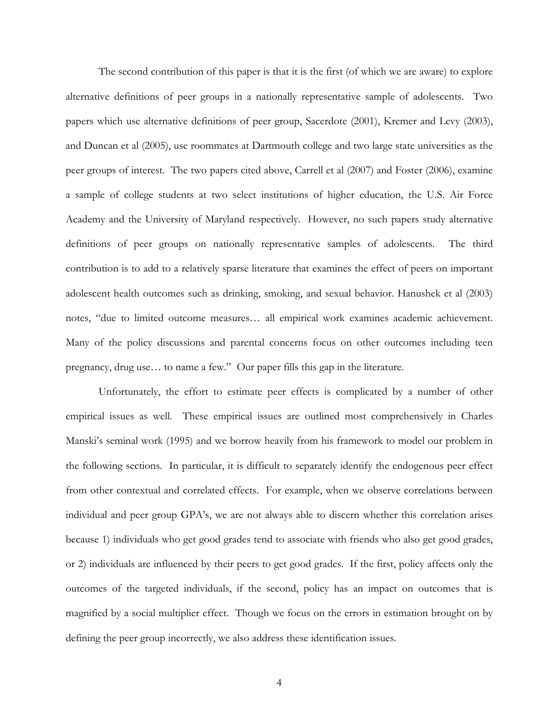The second contribution of this paper is that it is the first (of which we are aware) to explore alternative definitions of peer groups in a nationally representative sample of adolescents. Two papers which use alternative definitions of peer group, Sacerdote (2001), Kremer and Levy (2003), and Duncan et al (2005), use roommates at Dartmouth college and two large state universities as the peer groups of interest. The two papers cited above, Carrell et al (2007) and Foster (2006), examine a sample of college students at two select institutions of higher education, the U.S. Air Force Academy and the University of Maryland respectively. However, no such papers study alternative definitions of peer groups on nationally representative samples of adolescents. The third contribution is to add to a relatively sparse literature that examines the effect of peers on important adolescent health outcomes such as drinking, smoking, and sexual behavior. Hanushek et al (2003) notes, "due to limited outcome measures… all empirical work examines academic achievement. Many of the policy discussions and parental concerns focus on other outcomes including teen pregnancy, drug use… to name a few." Our paper fills this gap in the literature.

Unfortunately, the effort to estimate peer effects is complicated by a number of other empirical issues as well. These empirical issues are outlined most comprehensively in Charles Manski's seminal work (1995) and we borrow heavily from his framework to model our problem in the following sections. In particular, it is difficult to separately identify the endogenous peer effect from other contextual and correlated effects. For example, when we observe correlations between individual and peer group GPA's, we are not always able to discern whether this correlation arises because 1) individuals who get good grades tend to associate with friends who also get good grades, or 2) individuals are influenced by their peers to get good grades. If the first, policy affects only the outcomes of the targeted individuals, if the second, policy has an impact on outcomes that is magnified by a social multiplier effect. Though we focus on the errors in estimation brought on by defining the peer group incorrectly, we also address these identification issues.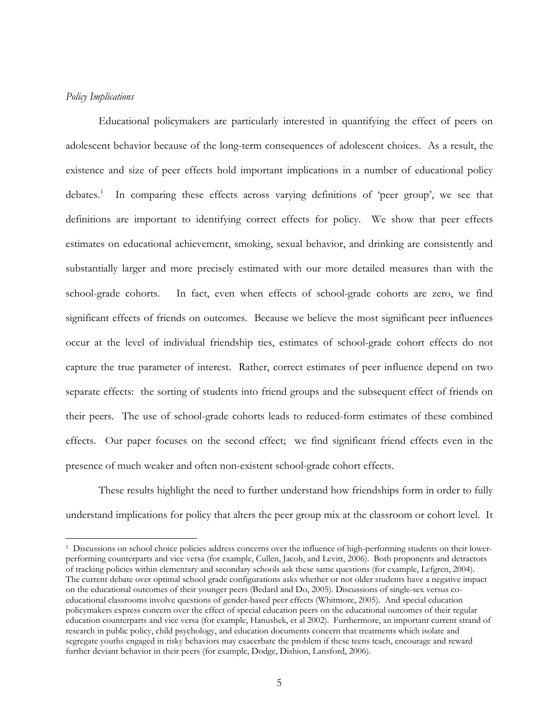### <span id="page-4-0"></span>*Policy Implications*

 $\overline{a}$ 

Educational policymakers are particularly interested in quantifying the effect of peers on adolescent behavior because of the long-term consequences of adolescent choices. As a result, the existence and size of peer effects hold important implications in a number of educational policy debates.<sup>[1](#page-4-0)</sup> In comparing these effects across varying definitions of 'peer group', we see that definitions are important to identifying correct effects for policy. We show that peer effects estimates on educational achievement, smoking, sexual behavior, and drinking are consistently and substantially larger and more precisely estimated with our more detailed measures than with the school-grade cohorts. In fact, even when effects of school-grade cohorts are zero, we find significant effects of friends on outcomes. Because we believe the most significant peer influences occur at the level of individual friendship ties, estimates of school-grade cohort effects do not capture the true parameter of interest. Rather, correct estimates of peer influence depend on two separate effects: the sorting of students into friend groups and the subsequent effect of friends on their peers. The use of school-grade cohorts leads to reduced-form estimates of these combined effects. Our paper focuses on the second effect; we find significant friend effects even in the presence of much weaker and often non-existent school-grade cohort effects.

These results highlight the need to further understand how friendships form in order to fully understand implications for policy that alters the peer group mix at the classroom or cohort level. It

<sup>1</sup> Discussions on school choice policies address concerns over the influence of high-performing students on their lowerperforming counterparts and vice versa (for example, Cullen, Jacob, and Levitt, 2006). Both proponents and detractors of tracking policies within elementary and secondary schools ask these same questions (for example, Lefgren, 2004). The current debate over optimal school grade configurations asks whether or not older students have a negative impact on the educational outcomes of their younger peers (Bedard and Do, 2005). Discussions of single-sex versus coeducational classrooms involve questions of gender-based peer effects (Whitmore, 2005). And special education policymakers express concern over the effect of special education peers on the educational outcomes of their regular education counterparts and vice versa (for example, Hanushek, et al 2002). Furthermore, an important current strand of research in public policy, child psychology, and education documents concern that treatments which isolate and segregate youths engaged in risky behaviors may exacerbate the problem if these teens teach, encourage and reward further deviant behavior in their peers (for example, Dodge, Dishion, Lansford, 2006).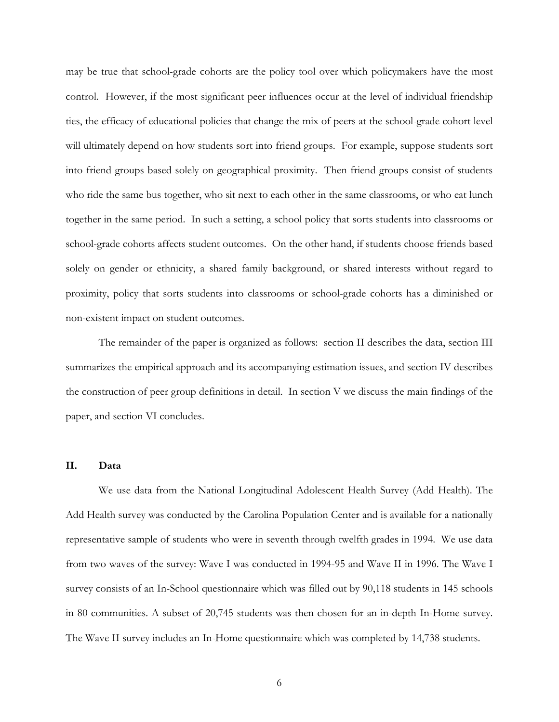may be true that school-grade cohorts are the policy tool over which policymakers have the most control. However, if the most significant peer influences occur at the level of individual friendship ties, the efficacy of educational policies that change the mix of peers at the school-grade cohort level will ultimately depend on how students sort into friend groups. For example, suppose students sort into friend groups based solely on geographical proximity. Then friend groups consist of students who ride the same bus together, who sit next to each other in the same classrooms, or who eat lunch together in the same period. In such a setting, a school policy that sorts students into classrooms or school-grade cohorts affects student outcomes. On the other hand, if students choose friends based solely on gender or ethnicity, a shared family background, or shared interests without regard to proximity, policy that sorts students into classrooms or school-grade cohorts has a diminished or non-existent impact on student outcomes.

The remainder of the paper is organized as follows: section II describes the data, section III summarizes the empirical approach and its accompanying estimation issues, and section IV describes the construction of peer group definitions in detail. In section V we discuss the main findings of the paper, and section VI concludes.

### **II. Data**

We use data from the National Longitudinal Adolescent Health Survey (Add Health). The Add Health survey was conducted by the Carolina Population Center and is available for a nationally representative sample of students who were in seventh through twelfth grades in 1994. We use data from two waves of the survey: Wave I was conducted in 1994-95 and Wave II in 1996. The Wave I survey consists of an In-School questionnaire which was filled out by 90,118 students in 145 schools in 80 communities. A subset of 20,745 students was then chosen for an in-depth In-Home survey. The Wave II survey includes an In-Home questionnaire which was completed by 14,738 students.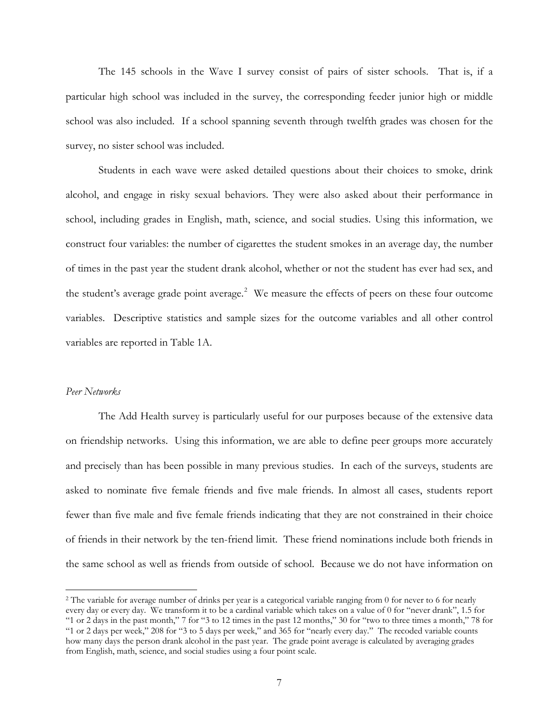<span id="page-6-0"></span>The 145 schools in the Wave I survey consist of pairs of sister schools. That is, if a particular high school was included in the survey, the corresponding feeder junior high or middle school was also included. If a school spanning seventh through twelfth grades was chosen for the survey, no sister school was included.

Students in each wave were asked detailed questions about their choices to smoke, drink alcohol, and engage in risky sexual behaviors. They were also asked about their performance in school, including grades in English, math, science, and social studies. Using this information, we construct four variables: the number of cigarettes the student smokes in an average day, the number of times in the past year the student drank alcohol, whether or not the student has ever had sex, and the student's average grade point average.<sup>[2](#page-6-0)</sup> We measure the effects of peers on these four outcome variables. Descriptive statistics and sample sizes for the outcome variables and all other control variables are reported in Table 1A.

## *Peer Networks*

 $\overline{a}$ 

 The Add Health survey is particularly useful for our purposes because of the extensive data on friendship networks. Using this information, we are able to define peer groups more accurately and precisely than has been possible in many previous studies. In each of the surveys, students are asked to nominate five female friends and five male friends. In almost all cases, students report fewer than five male and five female friends indicating that they are not constrained in their choice of friends in their network by the ten-friend limit. These friend nominations include both friends in the same school as well as friends from outside of school. Because we do not have information on

<sup>&</sup>lt;sup>2</sup> The variable for average number of drinks per year is a categorical variable ranging from 0 for never to 6 for nearly every day or every day. We transform it to be a cardinal variable which takes on a value of 0 for "never drank", 1.5 for "1 or 2 days in the past month," 7 for "3 to 12 times in the past 12 months," 30 for "two to three times a month," 78 for "1 or 2 days per week," 208 for "3 to 5 days per week," and 365 for "nearly every day." The recoded variable counts how many days the person drank alcohol in the past year. The grade point average is calculated by averaging grades from English, math, science, and social studies using a four point scale.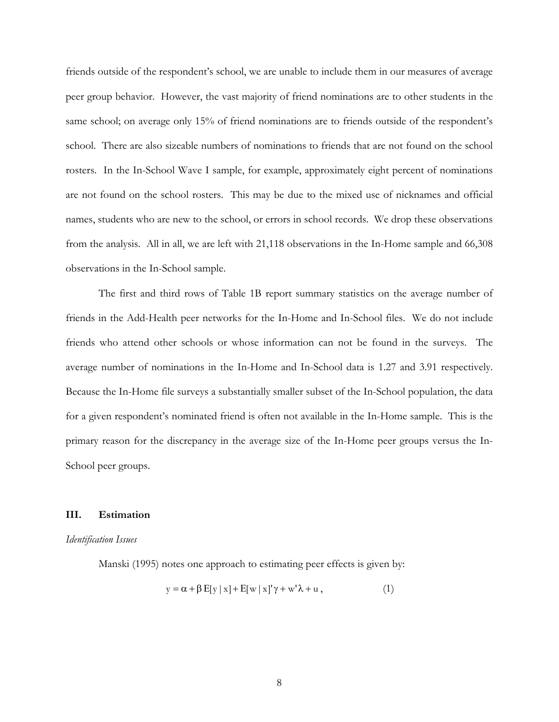friends outside of the respondent's school, we are unable to include them in our measures of average peer group behavior. However, the vast majority of friend nominations are to other students in the same school; on average only 15% of friend nominations are to friends outside of the respondent's school. There are also sizeable numbers of nominations to friends that are not found on the school rosters. In the In-School Wave I sample, for example, approximately eight percent of nominations are not found on the school rosters. This may be due to the mixed use of nicknames and official names, students who are new to the school, or errors in school records. We drop these observations from the analysis. All in all, we are left with 21,118 observations in the In-Home sample and 66,308 observations in the In-School sample.

 The first and third rows of Table 1B report summary statistics on the average number of friends in the Add-Health peer networks for the In-Home and In-School files. We do not include friends who attend other schools or whose information can not be found in the surveys. The average number of nominations in the In-Home and In-School data is 1.27 and 3.91 respectively. Because the In-Home file surveys a substantially smaller subset of the In-School population, the data for a given respondent's nominated friend is often not available in the In-Home sample. This is the primary reason for the discrepancy in the average size of the In-Home peer groups versus the In-School peer groups.

#### **III. Estimation**

#### *Identification Issues*

Manski (1995) notes one approach to estimating peer effects is given by:

$$
y = \alpha + \beta E[y | x] + E[w | x]'\gamma + w'\lambda + u,
$$
\n(1)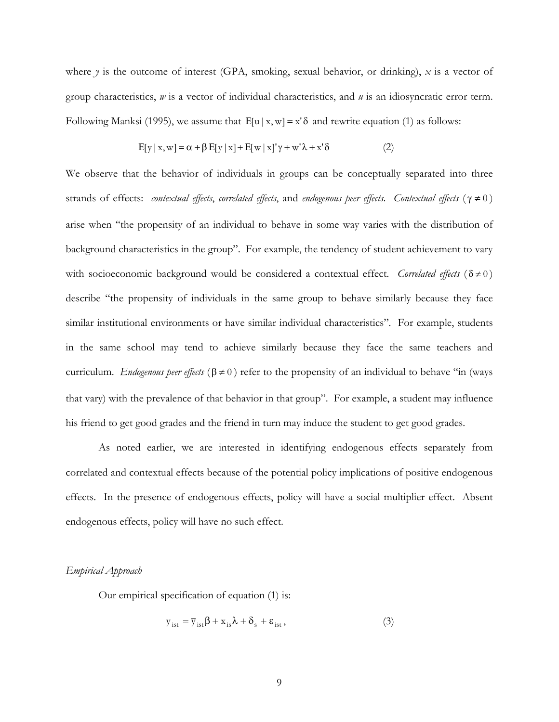where  $\gamma$  is the outcome of interest (GPA, smoking, sexual behavior, or drinking),  $\chi$  is a vector of group characteristics, *w* is a vector of individual characteristics, and *u* is an idiosyncratic error term. Following Manksi (1995), we assume that  $E[u | x, w] = x' \delta$  and rewrite equation (1) as follows:

$$
E[y | x, w] = \alpha + \beta E[y | x] + E[w | x]'\gamma + w'\lambda + x'\delta
$$
 (2)

We observe that the behavior of individuals in groups can be conceptually separated into three strands of effects: *contextual effects*, *correlated effects*, and *endogenous peer effects*. *Contextual effects* ( γ ≠ 0 ) arise when "the propensity of an individual to behave in some way varies with the distribution of background characteristics in the group". For example, the tendency of student achievement to vary with socioeconomic background would be considered a contextual effect. *Correlated effects* ( $\delta \neq 0$ ) describe "the propensity of individuals in the same group to behave similarly because they face similar institutional environments or have similar individual characteristics". For example, students in the same school may tend to achieve similarly because they face the same teachers and curriculum. *Endogenous peer effects* ( $\beta \neq 0$ ) refer to the propensity of an individual to behave "in (ways that vary) with the prevalence of that behavior in that group". For example, a student may influence his friend to get good grades and the friend in turn may induce the student to get good grades.

 As noted earlier, we are interested in identifying endogenous effects separately from correlated and contextual effects because of the potential policy implications of positive endogenous effects. In the presence of endogenous effects, policy will have a social multiplier effect. Absent endogenous effects, policy will have no such effect.

#### *Empirical Approach*

Our empirical specification of equation (1) is:

$$
y_{\text{ist}} = \overline{y}_{\text{ist}} \beta + x_{\text{is}} \lambda + \delta_{\text{s}} + \varepsilon_{\text{ist}} , \qquad (3)
$$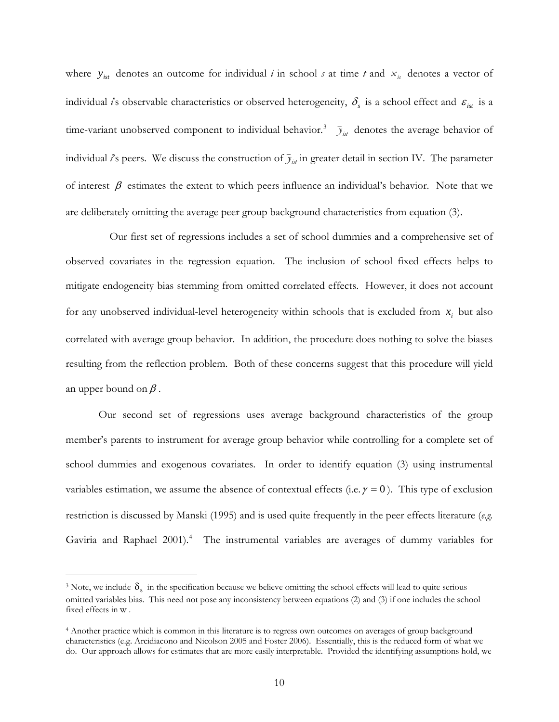<span id="page-9-0"></span>where  $y_{ist}$  denotes an outcome for individual *i* in school *s* at time *t* and  $x_{is}$  denotes a vector of individual *i*'s observable characteristics or observed heterogeneity,  $\delta_s$  is a school effect and  $\varepsilon_{_{ist}}$  is a time-variant unobserved component to individual behavior.<sup>[3](#page-9-0)</sup>  $\bar{y}_{i t}$  denotes the average behavior of individual *i*'s peers. We discuss the construction of  $\bar{y}_{i,j}$  in greater detail in section IV. The parameter of interest  $\beta$  estimates the extent to which peers influence an individual's behavior. Note that we are deliberately omitting the average peer group background characteristics from equation (3).

 Our first set of regressions includes a set of school dummies and a comprehensive set of observed covariates in the regression equation. The inclusion of school fixed effects helps to mitigate endogeneity bias stemming from omitted correlated effects. However, it does not account for any unobserved individual-level heterogeneity within schools that is excluded from  $x_i$  but also correlated with average group behavior. In addition, the procedure does nothing to solve the biases resulting from the reflection problem. Both of these concerns suggest that this procedure will yield an upper bound on  $\beta$ .

Our second set of regressions uses average background characteristics of the group member's parents to instrument for average group behavior while controlling for a complete set of school dummies and exogenous covariates. In order to identify equation (3) using instrumental variables estimation, we assume the absence of contextual effects (i.e.  $\gamma = 0$ ). This type of exclusion restriction is discussed by Manski (1995) and is used quite frequently in the peer effects literature (*e.g.* Gaviria and Raphael 2001).<sup>[4](#page-9-0)</sup> The instrumental variables are averages of dummy variables for

 $\overline{a}$ 

<sup>&</sup>lt;sup>3</sup> Note, we include  $\delta_s$  in the specification because we believe omitting the school effects will lead to quite serious omitted variables bias. This need not pose any inconsistency between equations (2) and (3) if one includes the school fixed effects in  $w$ .

<sup>4</sup> Another practice which is common in this literature is to regress own outcomes on averages of group background characteristics (e.g. Arcidiacono and Nicolson 2005 and Foster 2006). Essentially, this is the reduced form of what we do. Our approach allows for estimates that are more easily interpretable. Provided the identifying assumptions hold, we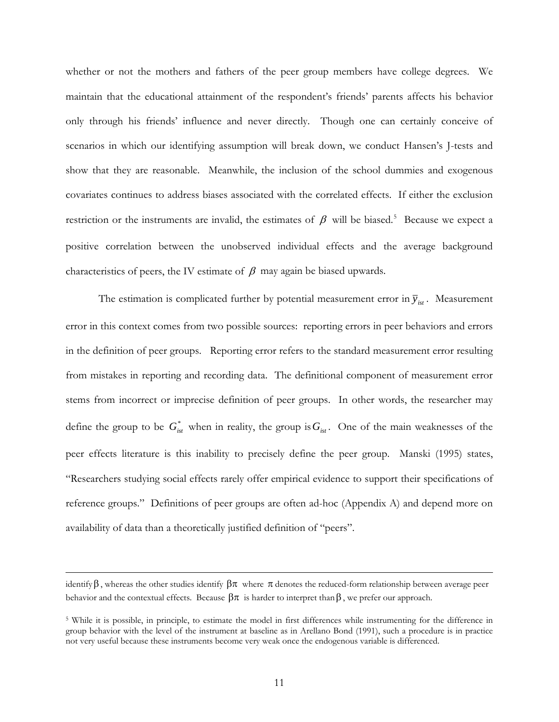<span id="page-10-0"></span>whether or not the mothers and fathers of the peer group members have college degrees. We maintain that the educational attainment of the respondent's friends' parents affects his behavior only through his friends' influence and never directly. Though one can certainly conceive of scenarios in which our identifying assumption will break down, we conduct Hansen's J-tests and show that they are reasonable. Meanwhile, the inclusion of the school dummies and exogenous covariates continues to address biases associated with the correlated effects. If either the exclusion restriction or the instruments are invalid, the estimates of  $\beta$  will be biased.<sup>[5](#page-10-0)</sup> Because we expect a positive correlation between the unobserved individual effects and the average background characteristics of peers, the IV estimate of  $\beta$  may again be biased upwards.

The estimation is complicated further by potential measurement error in  $\bar{y}_{ist}$ . Measurement error in this context comes from two possible sources: reporting errors in peer behaviors and errors in the definition of peer groups. Reporting error refers to the standard measurement error resulting from mistakes in reporting and recording data. The definitional component of measurement error stems from incorrect or imprecise definition of peer groups. In other words, the researcher may define the group to be  $G_{ist}^*$  when in reality, the group is  $G_{ist}$ . One of the main weaknesses of the peer effects literature is this inability to precisely define the peer group. Manski (1995) states, "Researchers studying social effects rarely offer empirical evidence to support their specifications of reference groups." Definitions of peer groups are often ad-hoc (Appendix A) and depend more on availability of data than a theoretically justified definition of "peers".

 $\overline{a}$ 

identify β, whereas the other studies identify  $\beta \pi$  where  $\pi$  denotes the reduced-form relationship between average peer behavior and the contextual effects. Because  $\beta \pi$  is harder to interpret than  $\beta$ , we prefer our approach.

<sup>&</sup>lt;sup>5</sup> While it is possible, in principle, to estimate the model in first differences while instrumenting for the difference in group behavior with the level of the instrument at baseline as in Arellano Bond (1991), such a procedure is in practice not very useful because these instruments become very weak once the endogenous variable is differenced.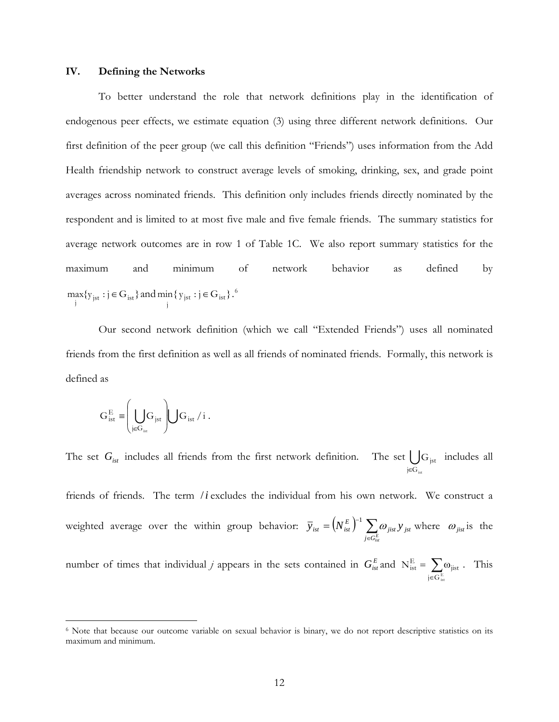#### <span id="page-11-0"></span>**IV. Defining the Networks**

To better understand the role that network definitions play in the identification of endogenous peer effects, we estimate equation (3) using three different network definitions. Our first definition of the peer group (we call this definition "Friends") uses information from the Add Health friendship network to construct average levels of smoking, drinking, sex, and grade point averages across nominated friends. This definition only includes friends directly nominated by the respondent and is limited to at most five male and five female friends. The summary statistics for average network outcomes are in row 1 of Table 1C. We also report summary statistics for the maximum and minimum of network behavior as defined by  $\max_{j} \{y_{jst} : j \in G_{ist}\}\$  and  $\min_{j} \{y_{jst} : j \in G_{ist}\}\$ .  $\in G_{\text{ist}}$ .<sup>[6](#page-11-0)</sup>

Our second network definition (which we call "Extended Friends") uses all nominated friends from the first definition as well as all friends of nominated friends. Formally, this network is defined as

$$
G_{\text{ist}}^{\text{E}} \equiv \left( \bigcup_{j \in G_{\text{ist}}} G_{j\text{st}} \right) \bigcup G_{\text{ist}} / i .
$$

1

The set  $G_{\text{ist}}$  includes all friends from the first network definition. The set  $\bigcup_{j\in G_{\text{ist}}} G_{\text{ist}}$  includes all friends of friends. The term /*i* excludes the individual from his own network. We construct a weighted average over the within group behavior:  $\overline{y}_{ist} = (N_{ist}^E)^{-1} \sum_{j \in G_{is}^E}$  $G_{\text{jst}}$ ∈  $\sum_{j \in G_{ist}^E}$ *W* jist  $Y$  jst  $\overline{y}_{ist} = (N_{ist}^E)^{-1} \sum \omega_{jist} y_{jst}$  where  $\omega_{jist}$  is the number of times that individual *j* appears in the sets contained in  $G_{\text{ist}}^E$  and  $N_{\text{ist}}^E = \sum \omega_{\text{jist}}$ . This  $=$   $\sum \omega$  $N_{\rm ist}^{\rm E} = \sum \omega_{\rm jist}$ 

∈

j $\in$ G $_{\rm ist}^{\rm E}$ 

<sup>6</sup> Note that because our outcome variable on sexual behavior is binary, we do not report descriptive statistics on its maximum and minimum.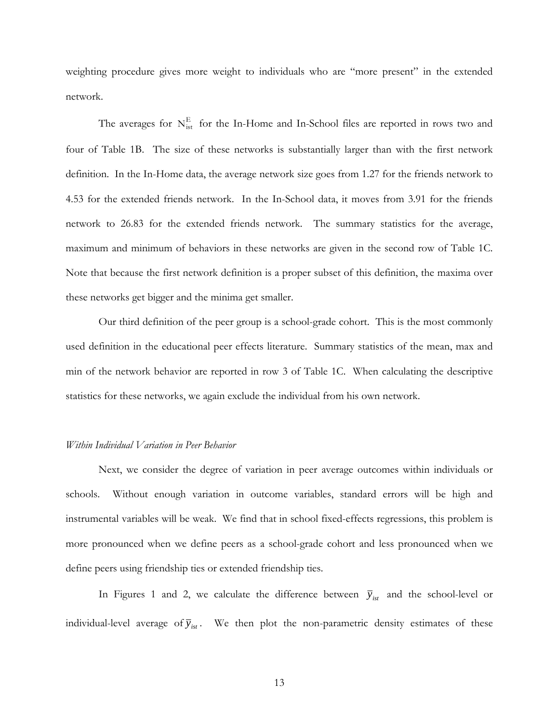weighting procedure gives more weight to individuals who are "more present" in the extended network.

The averages for  $N_{\text{ist}}^{\text{E}}$  for the In-Home and In-School files are reported in rows two and four of Table 1B. The size of these networks is substantially larger than with the first network definition. In the In-Home data, the average network size goes from 1.27 for the friends network to 4.53 for the extended friends network. In the In-School data, it moves from 3.91 for the friends network to 26.83 for the extended friends network. The summary statistics for the average, maximum and minimum of behaviors in these networks are given in the second row of Table 1C. Note that because the first network definition is a proper subset of this definition, the maxima over these networks get bigger and the minima get smaller.

Our third definition of the peer group is a school-grade cohort. This is the most commonly used definition in the educational peer effects literature. Summary statistics of the mean, max and min of the network behavior are reported in row 3 of Table 1C. When calculating the descriptive statistics for these networks, we again exclude the individual from his own network.

#### *Within Individual Variation in Peer Behavior*

Next, we consider the degree of variation in peer average outcomes within individuals or schools. Without enough variation in outcome variables, standard errors will be high and instrumental variables will be weak. We find that in school fixed-effects regressions, this problem is more pronounced when we define peers as a school-grade cohort and less pronounced when we define peers using friendship ties or extended friendship ties.

In Figures 1 and 2, we calculate the difference between  $\bar{y}_{\text{int}}$  and the school-level or individual-level average of  $\bar{y}_{ist}$ . We then plot the non-parametric density estimates of these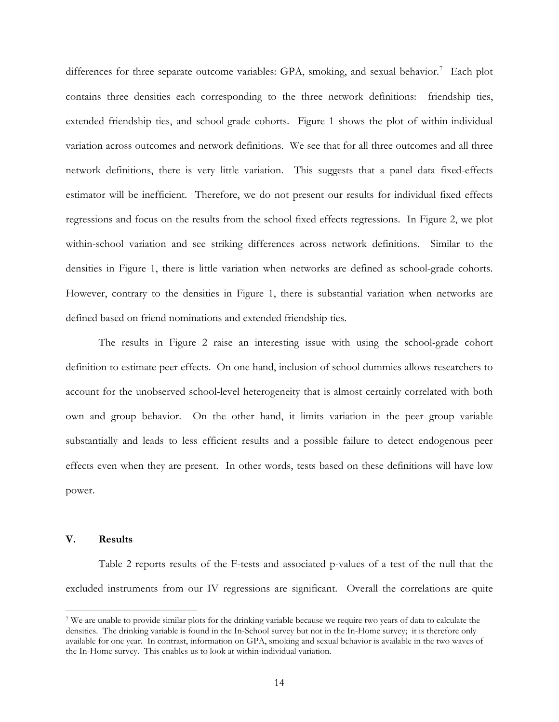<span id="page-13-0"></span>differences for three separate outcome variables: GPA, smoking, and sexual behavior.<sup>[7](#page-13-0)</sup> Each plot contains three densities each corresponding to the three network definitions: friendship ties, extended friendship ties, and school-grade cohorts. Figure 1 shows the plot of within-individual variation across outcomes and network definitions. We see that for all three outcomes and all three network definitions, there is very little variation. This suggests that a panel data fixed-effects estimator will be inefficient. Therefore, we do not present our results for individual fixed effects regressions and focus on the results from the school fixed effects regressions. In Figure 2, we plot within-school variation and see striking differences across network definitions. Similar to the densities in Figure 1, there is little variation when networks are defined as school-grade cohorts. However, contrary to the densities in Figure 1, there is substantial variation when networks are defined based on friend nominations and extended friendship ties.

The results in Figure 2 raise an interesting issue with using the school-grade cohort definition to estimate peer effects. On one hand, inclusion of school dummies allows researchers to account for the unobserved school-level heterogeneity that is almost certainly correlated with both own and group behavior. On the other hand, it limits variation in the peer group variable substantially and leads to less efficient results and a possible failure to detect endogenous peer effects even when they are present. In other words, tests based on these definitions will have low power.

### **V. Results**

 $\overline{a}$ 

Table 2 reports results of the F-tests and associated p-values of a test of the null that the excluded instruments from our IV regressions are significant. Overall the correlations are quite

<sup>7</sup> We are unable to provide similar plots for the drinking variable because we require two years of data to calculate the densities. The drinking variable is found in the In-School survey but not in the In-Home survey; it is therefore only available for one year. In contrast, information on GPA, smoking and sexual behavior is available in the two waves of the In-Home survey. This enables us to look at within-individual variation.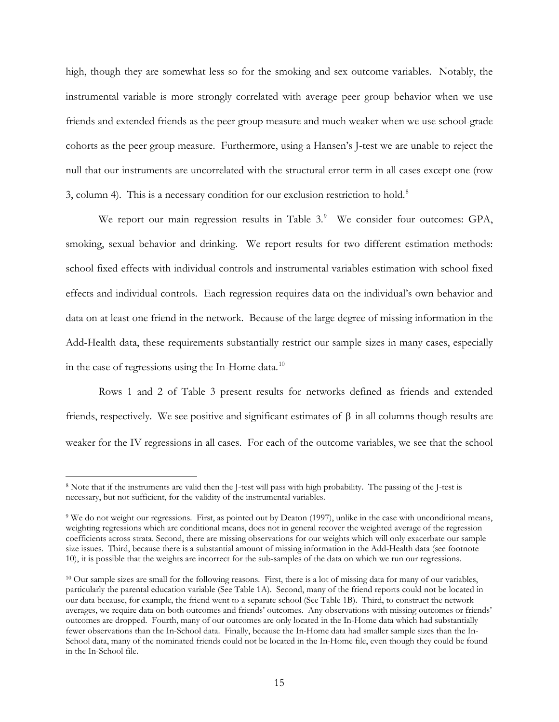<span id="page-14-0"></span>high, though they are somewhat less so for the smoking and sex outcome variables. Notably, the instrumental variable is more strongly correlated with average peer group behavior when we use friends and extended friends as the peer group measure and much weaker when we use school-grade cohorts as the peer group measure. Furthermore, using a Hansen's J-test we are unable to reject the null that our instruments are uncorrelated with the structural error term in all cases except one (row 3, column 4). This is a necessary condition for our exclusion restriction to hold.<sup>[8](#page-14-0)</sup>

We report our main regression results in Table 3.<sup>[9](#page-14-0)</sup> We consider four outcomes: GPA, smoking, sexual behavior and drinking. We report results for two different estimation methods: school fixed effects with individual controls and instrumental variables estimation with school fixed effects and individual controls. Each regression requires data on the individual's own behavior and data on at least one friend in the network. Because of the large degree of missing information in the Add-Health data, these requirements substantially restrict our sample sizes in many cases, especially in the case of regressions using the In-Home data.<sup>[10](#page-14-0)</sup>

Rows 1 and 2 of Table 3 present results for networks defined as friends and extended friends, respectively. We see positive and significant estimates of β in all columns though results are weaker for the IV regressions in all cases. For each of the outcome variables, we see that the school

 $\overline{a}$ 

<sup>8</sup> Note that if the instruments are valid then the J-test will pass with high probability. The passing of the J-test is necessary, but not sufficient, for the validity of the instrumental variables.

<sup>9</sup> We do not weight our regressions. First, as pointed out by Deaton (1997), unlike in the case with unconditional means, weighting regressions which are conditional means, does not in general recover the weighted average of the regression coefficients across strata. Second, there are missing observations for our weights which will only exacerbate our sample size issues. Third, because there is a substantial amount of missing information in the Add-Health data (see footnote 10), it is possible that the weights are incorrect for the sub-samples of the data on which we run our regressions.

<sup>&</sup>lt;sup>10</sup> Our sample sizes are small for the following reasons. First, there is a lot of missing data for many of our variables, particularly the parental education variable (See Table 1A). Second, many of the friend reports could not be located in our data because, for example, the friend went to a separate school (See Table 1B). Third, to construct the network averages, we require data on both outcomes and friends' outcomes. Any observations with missing outcomes or friends' outcomes are dropped. Fourth, many of our outcomes are only located in the In-Home data which had substantially fewer observations than the In-School data. Finally, because the In-Home data had smaller sample sizes than the In-School data, many of the nominated friends could not be located in the In-Home file, even though they could be found in the In-School file.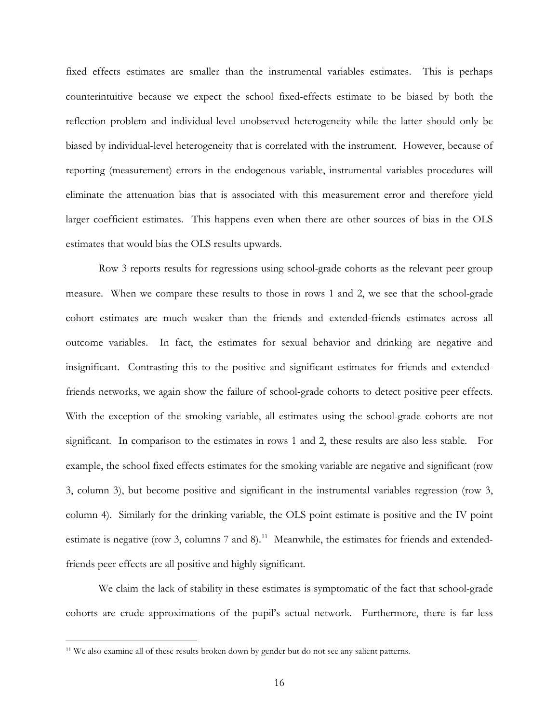<span id="page-15-0"></span>fixed effects estimates are smaller than the instrumental variables estimates. This is perhaps counterintuitive because we expect the school fixed-effects estimate to be biased by both the reflection problem and individual-level unobserved heterogeneity while the latter should only be biased by individual-level heterogeneity that is correlated with the instrument. However, because of reporting (measurement) errors in the endogenous variable, instrumental variables procedures will eliminate the attenuation bias that is associated with this measurement error and therefore yield larger coefficient estimates. This happens even when there are other sources of bias in the OLS estimates that would bias the OLS results upwards.

Row 3 reports results for regressions using school-grade cohorts as the relevant peer group measure. When we compare these results to those in rows 1 and 2, we see that the school-grade cohort estimates are much weaker than the friends and extended-friends estimates across all outcome variables. In fact, the estimates for sexual behavior and drinking are negative and insignificant. Contrasting this to the positive and significant estimates for friends and extendedfriends networks, we again show the failure of school-grade cohorts to detect positive peer effects. With the exception of the smoking variable, all estimates using the school-grade cohorts are not significant. In comparison to the estimates in rows 1 and 2, these results are also less stable. For example, the school fixed effects estimates for the smoking variable are negative and significant (row 3, column 3), but become positive and significant in the instrumental variables regression (row 3, column 4). Similarly for the drinking variable, the OLS point estimate is positive and the IV point estimate is negative (row 3, columns  $7$  and  $8$ ).<sup>[11](#page-15-0)</sup> Meanwhile, the estimates for friends and extendedfriends peer effects are all positive and highly significant.

We claim the lack of stability in these estimates is symptomatic of the fact that school-grade cohorts are crude approximations of the pupil's actual network. Furthermore, there is far less

 $\overline{a}$ 

<sup>&</sup>lt;sup>11</sup> We also examine all of these results broken down by gender but do not see any salient patterns.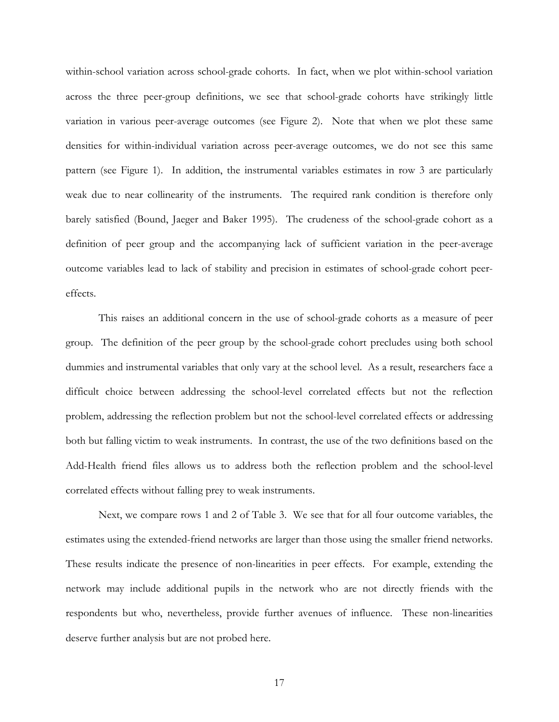within-school variation across school-grade cohorts. In fact, when we plot within-school variation across the three peer-group definitions, we see that school-grade cohorts have strikingly little variation in various peer-average outcomes (see Figure 2). Note that when we plot these same densities for within-individual variation across peer-average outcomes, we do not see this same pattern (see Figure 1). In addition, the instrumental variables estimates in row 3 are particularly weak due to near collinearity of the instruments. The required rank condition is therefore only barely satisfied (Bound, Jaeger and Baker 1995). The crudeness of the school-grade cohort as a definition of peer group and the accompanying lack of sufficient variation in the peer-average outcome variables lead to lack of stability and precision in estimates of school-grade cohort peereffects.

This raises an additional concern in the use of school-grade cohorts as a measure of peer group. The definition of the peer group by the school-grade cohort precludes using both school dummies and instrumental variables that only vary at the school level. As a result, researchers face a difficult choice between addressing the school-level correlated effects but not the reflection problem, addressing the reflection problem but not the school-level correlated effects or addressing both but falling victim to weak instruments. In contrast, the use of the two definitions based on the Add-Health friend files allows us to address both the reflection problem and the school-level correlated effects without falling prey to weak instruments.

Next, we compare rows 1 and 2 of Table 3. We see that for all four outcome variables, the estimates using the extended-friend networks are larger than those using the smaller friend networks. These results indicate the presence of non-linearities in peer effects. For example, extending the network may include additional pupils in the network who are not directly friends with the respondents but who, nevertheless, provide further avenues of influence. These non-linearities deserve further analysis but are not probed here.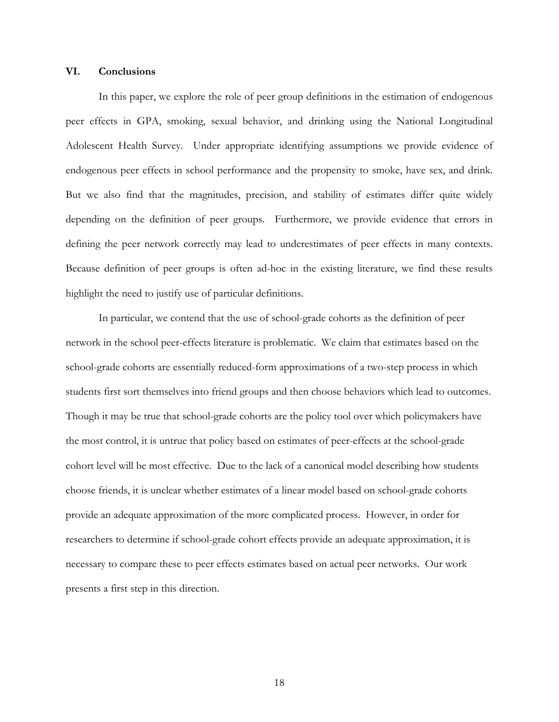### **VI. Conclusions**

In this paper, we explore the role of peer group definitions in the estimation of endogenous peer effects in GPA, smoking, sexual behavior, and drinking using the National Longitudinal Adolescent Health Survey. Under appropriate identifying assumptions we provide evidence of endogenous peer effects in school performance and the propensity to smoke, have sex, and drink. But we also find that the magnitudes, precision, and stability of estimates differ quite widely depending on the definition of peer groups. Furthermore, we provide evidence that errors in defining the peer network correctly may lead to underestimates of peer effects in many contexts. Because definition of peer groups is often ad-hoc in the existing literature, we find these results highlight the need to justify use of particular definitions.

 In particular, we contend that the use of school-grade cohorts as the definition of peer network in the school peer-effects literature is problematic. We claim that estimates based on the school-grade cohorts are essentially reduced-form approximations of a two-step process in which students first sort themselves into friend groups and then choose behaviors which lead to outcomes. Though it may be true that school-grade cohorts are the policy tool over which policymakers have the most control, it is untrue that policy based on estimates of peer-effects at the school-grade cohort level will be most effective. Due to the lack of a canonical model describing how students choose friends, it is unclear whether estimates of a linear model based on school-grade cohorts provide an adequate approximation of the more complicated process. However, in order for researchers to determine if school-grade cohort effects provide an adequate approximation, it is necessary to compare these to peer effects estimates based on actual peer networks. Our work presents a first step in this direction.

18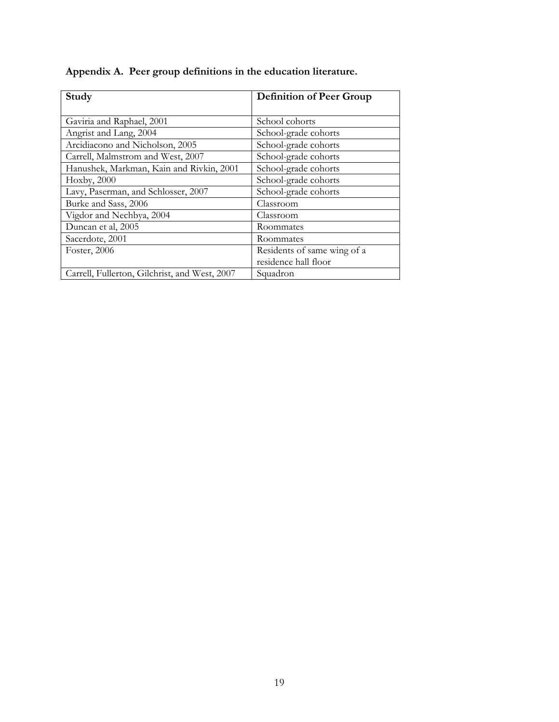| Appendix A. Peer group definitions in the education literature. |  |  |  |
|-----------------------------------------------------------------|--|--|--|
|-----------------------------------------------------------------|--|--|--|

| Study                                         | <b>Definition of Peer Group</b> |  |  |  |
|-----------------------------------------------|---------------------------------|--|--|--|
|                                               |                                 |  |  |  |
| Gaviria and Raphael, 2001                     | School cohorts                  |  |  |  |
| Angrist and Lang, 2004                        | School-grade cohorts            |  |  |  |
| Arcidiacono and Nicholson, 2005               | School-grade cohorts            |  |  |  |
| Carrell, Malmstrom and West, 2007             | School-grade cohorts            |  |  |  |
| Hanushek, Markman, Kain and Rivkin, 2001      | School-grade cohorts            |  |  |  |
| Hoxby, 2000                                   | School-grade cohorts            |  |  |  |
| Lavy, Paserman, and Schlosser, 2007           | School-grade cohorts            |  |  |  |
| Burke and Sass, 2006                          | Classroom                       |  |  |  |
| Vigdor and Nechbya, 2004                      | Classroom                       |  |  |  |
| Duncan et al, 2005                            | Roommates                       |  |  |  |
| Sacerdote, 2001                               | Roommates                       |  |  |  |
| Foster, 2006                                  | Residents of same wing of a     |  |  |  |
|                                               | residence hall floor            |  |  |  |
| Carrell, Fullerton, Gilchrist, and West, 2007 | Squadron                        |  |  |  |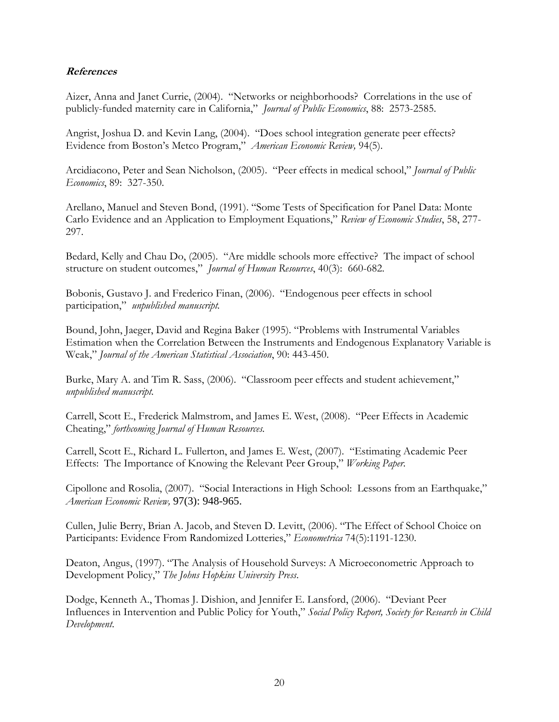# **References**

Aizer, Anna and Janet Currie, (2004). "Networks or neighborhoods? Correlations in the use of publicly-funded maternity care in California," *Journal of Public Economics*, 88: 2573-2585.

Angrist, Joshua D. and Kevin Lang, (2004). "Does school integration generate peer effects? Evidence from Boston's Metco Program," *American Economic Review,* 94(5).

Arcidiacono, Peter and Sean Nicholson, (2005). "Peer effects in medical school," *Journal of Public Economics*, 89: 327-350.

Arellano, Manuel and Steven Bond, (1991). "Some Tests of Specification for Panel Data: Monte Carlo Evidence and an Application to Employment Equations," *Review of Economic Studies*, 58, 277- 297.

Bedard, Kelly and Chau Do, (2005). "Are middle schools more effective? The impact of school structure on student outcomes," *Journal of Human Resources*, 40(3): 660-682.

Bobonis, Gustavo J. and Frederico Finan, (2006). "Endogenous peer effects in school participation," *unpublished manuscript.*

Bound, John, Jaeger, David and Regina Baker (1995). "Problems with Instrumental Variables Estimation when the Correlation Between the Instruments and Endogenous Explanatory Variable is Weak," *Journal of the American Statistical Association*, 90: 443-450.

Burke, Mary A. and Tim R. Sass, (2006). "Classroom peer effects and student achievement," *unpublished manuscript.* 

Carrell, Scott E., Frederick Malmstrom, and James E. West, (2008). "Peer Effects in Academic Cheating," *forthcoming Journal of Human Resources.* 

Carrell, Scott E., Richard L. Fullerton, and James E. West, (2007). "Estimating Academic Peer Effects: The Importance of Knowing the Relevant Peer Group," *Working Paper.* 

Cipollone and Rosolia, (2007). "Social Interactions in High School: Lessons from an Earthquake," *American Economic Review,* 97(3): 948-965.

Cullen, Julie Berry, Brian A. Jacob, and Steven D. Levitt, (2006). "The Effect of School Choice on Participants: Evidence From Randomized Lotteries," *Econometrica* 74(5):1191-1230.

Deaton, Angus, (1997). "The Analysis of Household Surveys: A Microeconometric Approach to Development Policy," *The Johns Hopkins University Press*.

Dodge, Kenneth A., Thomas J. Dishion, and Jennifer E. Lansford, (2006). "Deviant Peer Influences in Intervention and Public Policy for Youth," *Social Policy Report, Society for Research in Child Development*.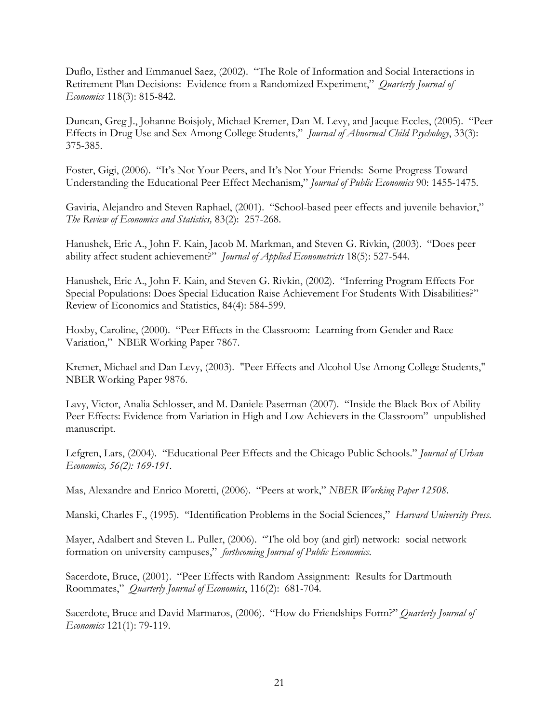Duflo, Esther and Emmanuel Saez, (2002). "The Role of Information and Social Interactions in Retirement Plan Decisions: Evidence from a Randomized Experiment," *Quarterly Journal of Economics* 118(3): 815-842.

Duncan, Greg J., Johanne Boisjoly, Michael Kremer, Dan M. Levy, and Jacque Eccles, (2005). "Peer Effects in Drug Use and Sex Among College Students," *Journal of Abnormal Child Psychology*, 33(3): 375-385.

Foster, Gigi, (2006). "It's Not Your Peers, and It's Not Your Friends: Some Progress Toward Understanding the Educational Peer Effect Mechanism," *Journal of Public Economics* 90: 1455-1475.

Gaviria, Alejandro and Steven Raphael, (2001). "School-based peer effects and juvenile behavior," *The Review of Economics and Statistics,* 83(2): 257-268.

Hanushek, Eric A., John F. Kain, Jacob M. Markman, and Steven G. Rivkin, (2003). "Does peer ability affect student achievement?" *Journal of Applied Econometricts* 18(5): 527-544*.* 

Hanushek, Eric A., John F. Kain, and Steven G. Rivkin, (2002). "Inferring Program Effects For Special Populations: Does Special Education Raise Achievement For Students With Disabilities?" Review of Economics and Statistics, 84(4): 584-599.

Hoxby, Caroline, (2000). "Peer Effects in the Classroom: Learning from Gender and Race Variation," NBER Working Paper 7867.

Kremer, Michael and Dan Levy, (2003). "Peer Effects and Alcohol Use Among College Students," NBER Working Paper 9876.

Lavy, Victor, Analia Schlosser, and M. Daniele Paserman (2007). "Inside the Black Box of Ability Peer Effects: Evidence from Variation in High and Low Achievers in the Classroom" unpublished manuscript.

Lefgren, Lars, (2004). "Educational Peer Effects and the Chicago Public Schools." *Journal of Urban Economics, 56(2): 169-191*.

Mas, Alexandre and Enrico Moretti, (2006). "Peers at work," *NBER Working Paper 12508.* 

Manski, Charles F., (1995). "Identification Problems in the Social Sciences," *Harvard University Press.* 

Mayer, Adalbert and Steven L. Puller, (2006). "The old boy (and girl) network: social network formation on university campuses," *forthcoming Journal of Public Economics.*

Sacerdote, Bruce, (2001). "Peer Effects with Random Assignment: Results for Dartmouth Roommates," *Quarterly Journal of Economics*, 116(2): 681-704.

Sacerdote, Bruce and David Marmaros, (2006). "How do Friendships Form?" *Quarterly Journal of Economics* 121(1): 79-119.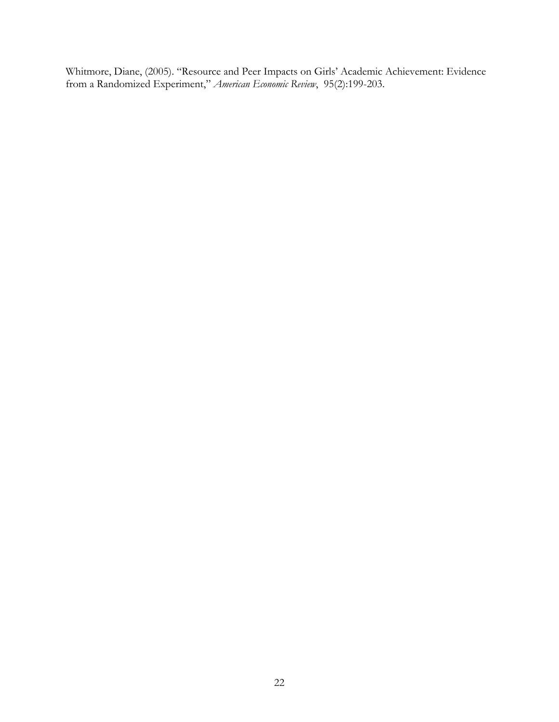Whitmore, Diane, (2005). "Resource and Peer Impacts on Girls' Academic Achievement: Evidence from a Randomized Experiment," *American Economic Review*, 95(2):199-203.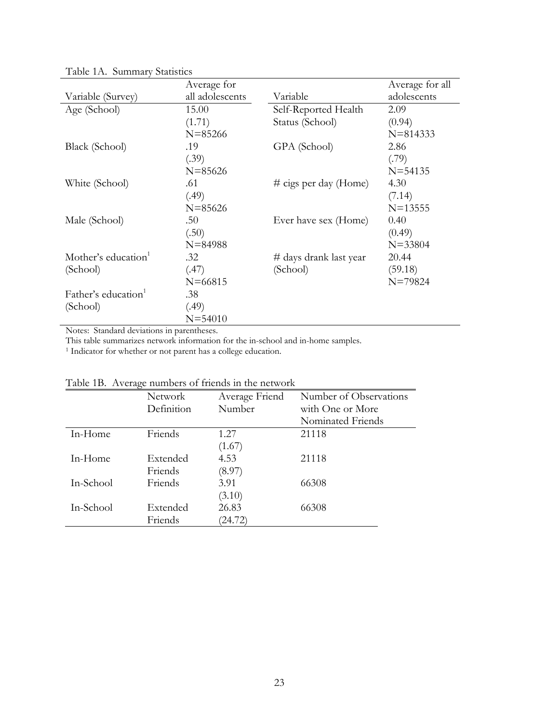|                                 | Average for     |                          | Average for all |
|---------------------------------|-----------------|--------------------------|-----------------|
| Variable (Survey)               | all adolescents | Variable                 | adolescents     |
| Age (School)                    | 15.00           | Self-Reported Health     | 2.09            |
|                                 | (1.71)          | Status (School)          | (0.94)          |
|                                 | $N = 85266$     |                          | $N = 814333$    |
| Black (School)                  | .19             | GPA (School)             | 2.86            |
|                                 | (.39)           |                          | (.79)           |
|                                 | $N = 85626$     |                          | $N = 54135$     |
| White (School)                  | .61             | $\#$ cigs per day (Home) | 4.30            |
|                                 | (.49)           |                          | (7.14)          |
|                                 | $N = 85626$     |                          | $N = 13555$     |
| Male (School)                   | .50             | Ever have sex (Home)     | 0.40            |
|                                 | (.50)           |                          | (0.49)          |
|                                 | $N = 84988$     |                          | $N = 33804$     |
| Mother's education <sup>1</sup> | .32             | # days drank last year   | 20.44           |
| (School)                        | (.47)           | (School)                 | (59.18)         |
|                                 | $N = 66815$     |                          | $N = 79824$     |
| Father's education <sup>1</sup> | .38             |                          |                 |
| (School)                        | (.49)           |                          |                 |
|                                 | $N = 54010$     |                          |                 |

Table 1A. Summary Statistics

Notes: Standard deviations in parentheses.

This table summarizes network information for the in-school and in-home samples. 1 Indicator for whether or not parent has a college education.

| Table TD. TWClage humbers of flictius in the network |            |                |                        |  |  |  |  |
|------------------------------------------------------|------------|----------------|------------------------|--|--|--|--|
|                                                      | Network    | Average Friend | Number of Observations |  |  |  |  |
|                                                      | Definition | Number         | with One or More       |  |  |  |  |
|                                                      |            |                | Nominated Friends      |  |  |  |  |
| In-Home                                              | Friends    | 1.27           | 21118                  |  |  |  |  |
|                                                      |            | (1.67)         |                        |  |  |  |  |
| In-Home                                              | Extended   | 4.53           | 21118                  |  |  |  |  |
|                                                      | Friends    | (8.97)         |                        |  |  |  |  |
| In-School                                            | Friends    | 3.91           | 66308                  |  |  |  |  |
|                                                      |            | (3.10)         |                        |  |  |  |  |
| In-School                                            | Extended   | 26.83          | 66308                  |  |  |  |  |
|                                                      | Friends    | (24.72)        |                        |  |  |  |  |

Table 1B. Average numbers of friends in the network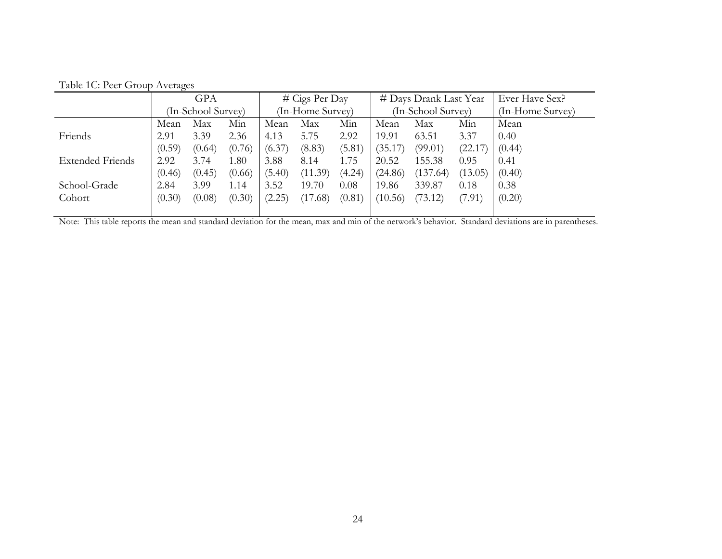|                         | <b>GPA</b>         |        |        | $# \text{ Cigs Per Day}$ |         |        | # Days Drank Last Year |          |         | Ever Have Sex?   |
|-------------------------|--------------------|--------|--------|--------------------------|---------|--------|------------------------|----------|---------|------------------|
|                         | (In-School Survey) |        |        | (In-Home Survey)         |         |        | (In-School Survey)     |          |         | (In-Home Survey) |
|                         | Mean               | Max    | Min    | Mean                     | Max     | Min    | Mean                   | Max      | Min     | Mean             |
| Friends                 | 2.91               | 3.39   | 2.36   | 4.13                     | 5.75    | 2.92   | 19.91                  | 63.51    | 3.37    | 0.40             |
|                         | (0.59)             | (0.64) | (0.76) | (6.37)                   | (8.83)  | (5.81) | (35.17)                | (99.01)  | (22.17) | (0.44)           |
| <b>Extended Friends</b> | 2.92               | 3.74   | 1.80   | 3.88                     | 8.14    | 1.75   | 20.52                  | 155.38   | 0.95    | 0.41             |
|                         | (0.46)             | (0.45) | (0.66) | (5.40)                   | (11.39) | (4.24) | (24.86)                | (137.64) | (13.05) | (0.40)           |
| School-Grade            | 2.84               | 3.99   | 1.14   | 3.52                     | 19.70   | 0.08   | 19.86                  | 339.87   | 0.18    | 0.38             |
| Cohort                  | (0.30)             | (0.08) | (0.30) | (2.25)                   | (17.68) | (0.81) | (10.56)                | (73.12)  | (7.91)  | (0.20)           |
|                         |                    |        |        |                          |         |        |                        |          |         |                  |

Table 1C: Peer Group Averages

Note: This table reports the mean and standard deviation for the mean, max and min of the network's behavior. Standard deviations are in parentheses.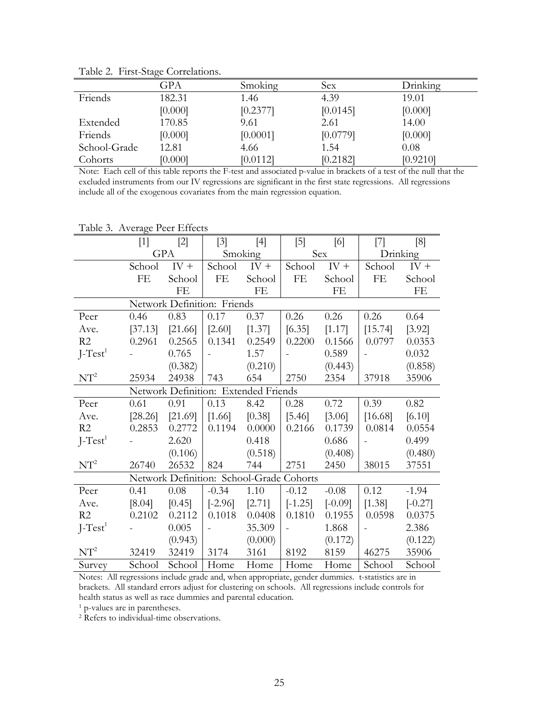|              | GPA     | Smoking  | Sex      | Drinking |
|--------------|---------|----------|----------|----------|
| Friends      | 182.31  | 1.46     | 4.39     | 19.01    |
|              | [0.000] | [0.2377] | [0.0145] | [0.000]  |
| Extended     | 170.85  | 9.61     | 2.61     | 14.00    |
| Friends      | [0.000] | [0.0001] | [0.0779] | [0.000]  |
| School-Grade | 12.81   | 4.66     | 1.54     | 0.08     |
| Cohorts      | [0.000] | [0.0112] | [0.2182] | [0.9210] |

Table 2. First-Stage Correlations.

Note: Each cell of this table reports the F-test and associated p-value in brackets of a test of the null that the excluded instruments from our IV regressions are significant in the first state regressions. All regressions include all of the exogenous covariates from the main regression equation.

| Table 3. Average Peer Effects        |         |                                          |               |         |           |           |          |           |
|--------------------------------------|---------|------------------------------------------|---------------|---------|-----------|-----------|----------|-----------|
|                                      | $[1]$   | $[2]$                                    | $[3]$         | $[4]$   | $[5]$     | [6]       | $[7]$    | [8]       |
|                                      | GPA     |                                          | Smoking       |         | Sex       |           | Drinking |           |
|                                      | School  | $IV +$                                   | School        | $IV +$  | School    | $IV +$    | School   | $IV +$    |
|                                      | FE      | School                                   | FE            | School  | FE        | School    | FE       | School    |
|                                      |         | FE                                       |               | FE      |           | FE        |          | FE        |
|                                      |         | Network Definition: Friends              |               |         |           |           |          |           |
| Peer                                 | 0.46    | 0.83                                     | 0.17          | 0.37    | 0.26      | 0.26      | 0.26     | 0.64      |
| Ave.                                 | [37.13] | [21.66]                                  | [2.60]        | [1.37]  | [6.35]    | [1.17]    | [15.74]  | [3.92]    |
| R <sub>2</sub>                       | 0.2961  | 0.2565                                   | 0.1341        | 0.2549  | 0.2200    | 0.1566    | 0.0797   | 0.0353    |
| $J-Test1$                            |         | 0.765                                    |               | 1.57    |           | 0.589     |          | 0.032     |
|                                      |         | (0.382)                                  |               | (0.210) |           | (0.443)   |          | (0.858)   |
| $NT^2$                               | 25934   | 24938                                    | 743           | 654     | 2750      | 2354      | 37918    | 35906     |
| Network Definition: Extended Friends |         |                                          |               |         |           |           |          |           |
| Peer                                 | 0.61    | 0.91                                     | 0.13          | 8.42    | 0.28      | 0.72      | 0.39     | 0.82      |
| Ave.                                 | [28.26] | [21.69]                                  | [1.66]        | [0.38]  | [5.46]    | [3.06]    | [16.68]  | [6.10]    |
| R2                                   | 0.2853  | 0.2772                                   | 0.1194        | 0.0000  | 0.2166    | 0.1739    | 0.0814   | 0.0554    |
| $J-Test1$                            |         | 2.620                                    |               | 0.418   |           | 0.686     |          | 0.499     |
|                                      |         | (0.106)                                  |               | (0.518) |           | (0.408)   |          | (0.480)   |
| $NT^2$                               | 26740   | 26532                                    | 824           | 744     | 2751      | 2450      | 38015    | 37551     |
|                                      |         | Network Definition: School-Grade Cohorts |               |         |           |           |          |           |
| Peer                                 | 0.41    | 0.08                                     | $-0.34$       | 1.10    | $-0.12$   | $-0.08$   | 0.12     | $-1.94$   |
| Ave.                                 | [8.04]  | [0.45]                                   | $[-2.96]$     | [2.71]  | $[-1.25]$ | $[-0.09]$ | [1.38]   | $[-0.27]$ |
| R2                                   | 0.2102  | 0.2112                                   | 0.1018        | 0.0408  | 0.1810    | 0.1955    | 0.0598   | 0.0375    |
| $J-Test^1$                           |         | 0.005                                    | $\frac{1}{2}$ | 35.309  | $\equiv$  | 1.868     |          | 2.386     |
|                                      |         | (0.943)                                  |               | (0.000) |           | (0.172)   |          | (0.122)   |
| $NT^2$                               | 32419   | 32419                                    | 3174          | 3161    | 8192      | 8159      | 46275    | 35906     |
| Survey                               | School  | School                                   | Home          | Home    | Home      | Home      | School   | School    |

Table 3. Average Peer Effects

Notes: All regressions include grade and, when appropriate, gender dummies. t-statistics are in brackets. All standard errors adjust for clustering on schools. All regressions include controls for health status as well as race dummies and parental education.

 $1$  p-values are in parentheses.<br> $2$  Refers to individual-time observations.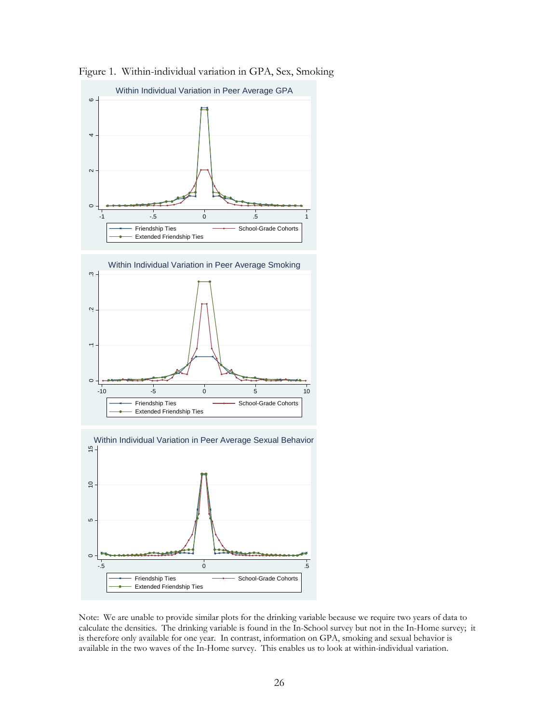

Figure 1. Within-individual variation in GPA, Sex, Smoking

Note: We are unable to provide similar plots for the drinking variable because we require two years of data to calculate the densities. The drinking variable is found in the In-School survey but not in the In-Home survey; it is therefore only available for one year. In contrast, information on GPA, smoking and sexual behavior is available in the two waves of the In-Home survey. This enables us to look at within-individual variation.